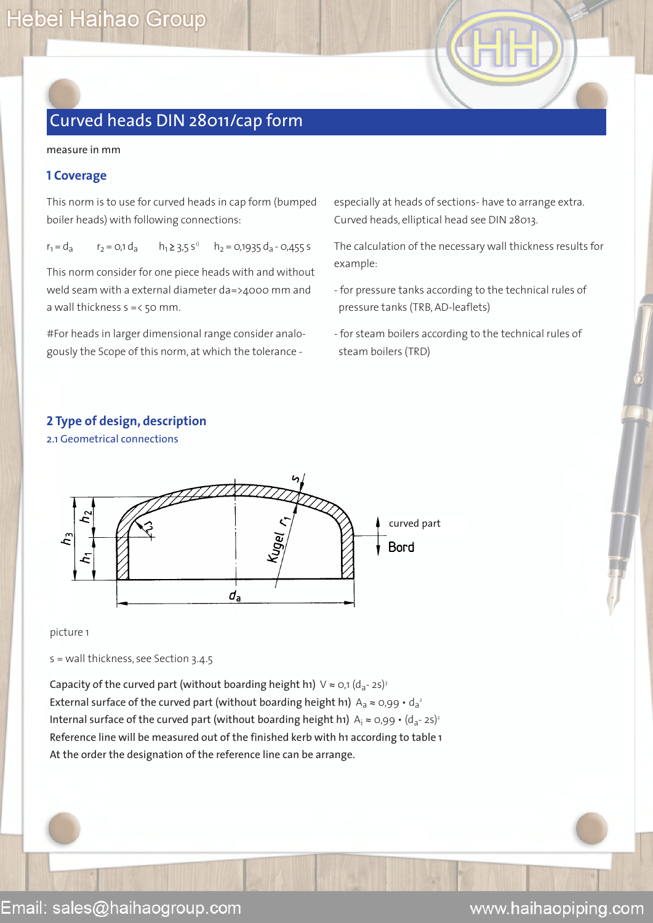measure in mm

### **1 Coverage**

This norm is to use for curved heads in cap form (bumped boiler heads) with following connections:

 $r_1 = d_a$   $r_2 = 0.1 d_a$   $h_1 \ge 3.5 s^{1}$   $h_2 = 0.1935 d_a - 0.455 s$ 

This norm consider for one piece heads with and without weld seam with a external diameter da=>4000 mm and a wall thickness  $s = < 50$  mm.

#For heads in larger dimensional range consider analogously the Scope of this norm, at which the tolerance -

especially at heads of sections- have to arrange extra. Curved heads, elliptical head see DIN 28013.

The calculation of the necessary wall thickness results for example:

- for pressure tanks according to the technical rules of pressure tanks (TRB, AD-leaflets)
- for steam boilers according to the technical rules of steam boilers (TRD)

### **2 Type of design, description**

2.1 Geometrical connections



picture 1

s = wall thickness, see Section 3.4.5

Capacity of the curved part (without boarding height h1)  $\vee \approx o,1$  (d<sub>a</sub>-2s)<sup>3</sup> External surface of the curved part (without boarding height h1)  $A_a \approx 0.99 \cdot d_a^2$ Internal surface of the curved part (without boarding height h1)  $A_i \approx 0.99 \cdot (d_a - 25)^2$ Reference line will be measured out of the finished kerb with h1 according to table 1 At the order the designation of the reference line can be arrange.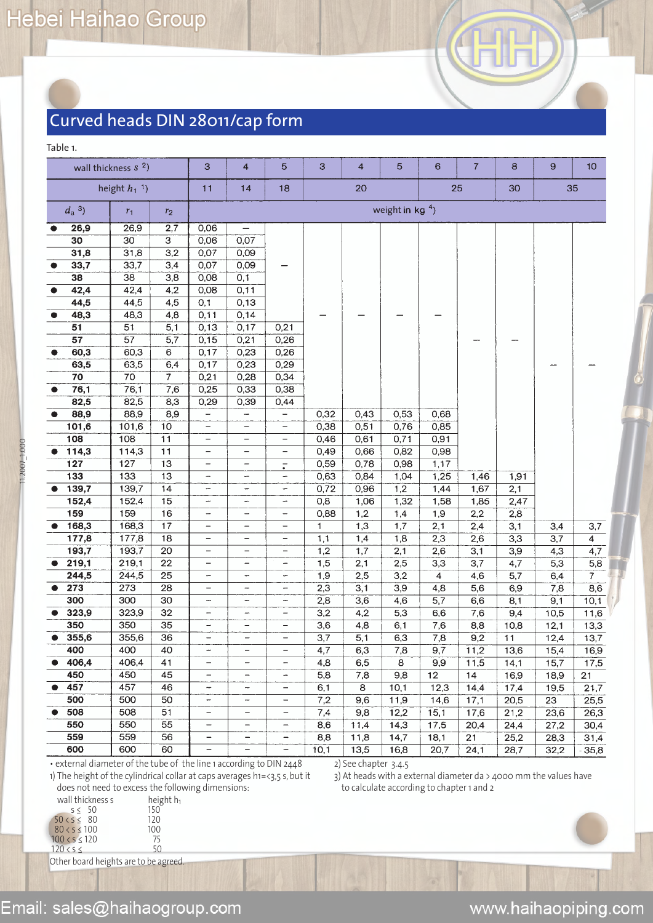| v<br>٠ | w<br>٠. | w |
|--------|---------|---|
|        |         |   |

11.2007\_1.000

1.2007 1.000

|                      | wall thickness s <sup>2</sup> ) |                  | 3                        | 4                            | $\overline{5}$           | 3    | $\overline{\mathbf{4}}$ | 5                 | 6                | $\overline{7}$   | 8                | 9                | 10             |
|----------------------|---------------------------------|------------------|--------------------------|------------------------------|--------------------------|------|-------------------------|-------------------|------------------|------------------|------------------|------------------|----------------|
|                      | height $h_1$ <sup>1</sup> )     |                  | 11                       | 18<br>20<br>25<br>30<br>14   |                          |      |                         |                   |                  | 35               |                  |                  |                |
| $d_a$ <sup>3</sup> ) | $r_1$                           | r <sub>2</sub>   |                          |                              |                          |      |                         | weight in $kg4$ ) |                  |                  |                  |                  |                |
| 26,9<br>$\bullet$    | 26,9                            | 2,7              | 0,06                     | —                            |                          |      |                         |                   |                  |                  |                  |                  |                |
| 30                   | 30                              | $\overline{3}$   | 0,06                     | 0,07                         |                          |      |                         |                   |                  |                  |                  |                  |                |
| 31,8                 | 31,8                            | $\overline{3,2}$ | 0,07                     | 0,09                         |                          |      |                         |                   |                  |                  |                  |                  |                |
| 33,7                 | 33,7                            | 3,4              | 0,07                     | 0,09                         |                          |      |                         |                   |                  |                  |                  |                  |                |
| 38                   | $\overline{38}$                 | 3,8              | 0,08                     | 0,1                          |                          |      |                         |                   |                  |                  |                  |                  |                |
| 42,4<br>$\bullet$    | 42,4                            | 4,2              | 0,08                     | 0,11                         |                          |      |                         |                   |                  |                  |                  |                  |                |
| 44,5                 | 44,5                            | 4,5              | 0,1                      | 0,13                         |                          |      |                         |                   |                  |                  |                  |                  |                |
| 48,3<br>$\bullet$    | 48,3                            | 4,8              | 0,11                     | 0,14                         |                          |      |                         |                   |                  |                  |                  |                  |                |
| 51                   | $\overline{51}$                 | 5,1              | 0, 13                    | 0,17                         | 0,21                     |      |                         |                   |                  |                  |                  |                  |                |
| 57                   | $\overline{57}$                 | 5,7              | 0, 15                    | 0,21                         | 0,26                     |      |                         |                   |                  |                  |                  |                  |                |
| 60,3                 | 60,3                            | 6                | 0,17                     | 0,23                         | 0,26                     |      |                         |                   |                  |                  |                  |                  |                |
| 63,5                 | 63,5                            | 6,4              | 0,17                     | 0,23                         | 0,29                     |      |                         |                   |                  |                  |                  |                  |                |
| 70                   | $\overline{70}$                 | 7                | 0,21                     | 0,28                         | 0,34                     |      |                         |                   |                  |                  |                  |                  |                |
| 76,1<br>$\bullet$    | 76,1                            | 7,6              | 0,25                     | 0,33                         | 0,38                     |      |                         |                   |                  |                  |                  |                  |                |
| 82,5                 | 82,5                            | 8,3              | 0,29                     | 0,39                         | 0,44                     |      |                         |                   |                  |                  |                  |                  |                |
| 88,9                 | 88,9                            | 8,9              | $\overline{\phantom{a}}$ | -                            | $\overline{\phantom{0}}$ | 0,32 | 0,43                    | 0,53              | 0,68             |                  |                  |                  |                |
| 101,6                | 101,6                           | 10               | $\qquad \qquad -$        | $\overline{\phantom{0}}$     | $\qquad \qquad -$        | 0,38 | 0,51                    | 0,76              | 0,85             |                  |                  |                  |                |
| 108                  | 108                             | 11               | $\qquad \qquad -$        | $\qquad \qquad$              | -                        | 0,46 | 0,61                    | 0,71              | 0,91             |                  |                  |                  |                |
| 114,3                | 114,3                           | $\overline{11}$  | -                        | $\qquad \qquad$              | -                        | 0,49 | 0,66                    | 0,82              | 0,98             |                  |                  |                  |                |
| 127                  | 127                             | 13               | -                        | -                            | $\overline{\cdot}$       | 0,59 | 0,78                    | 0,98              | 1,17             |                  |                  |                  |                |
| $\overline{133}$     | 133                             | $\overline{13}$  | -                        | -                            | -                        | 0,63 | 0,84                    | 1,04              | 1,25             | 1,46             | 1,91             |                  |                |
| 139,7                | 139,7                           | 14               | $\overline{a}$           | -                            | ÷                        | 0,72 | 0,96                    | 1,2               | 1,44             | 1,67             | $\overline{2,1}$ |                  |                |
| 152,4                | 152,4                           | 15               | $\overline{\phantom{0}}$ | ÷                            | $\rightarrow$            | 0,8  | 1,06                    | 1,32              | 1,58             | 1,85             | 2,47             |                  |                |
| 159                  | 159                             | 16               | -                        | $\overline{\phantom{0}}$     | $\overline{\phantom{0}}$ | 0,88 | 1,2                     | 1,4               | 1,9              | 2,2              | 2,8              |                  |                |
| 168,3                | 168,3                           | $\overline{17}$  | $\overline{\phantom{0}}$ | -                            | -                        | 1    | 1,3                     | 1,7               | 2,1              | 2,4              | 3,1              | $\overline{3,4}$ | 3,7            |
| 177,8                | 177,8                           | 18               | $\qquad \qquad -$        | -                            | -                        | 1,1  | 1,4                     | 1,8               | 2,3              | 2,6              | 3,3              | $\overline{3,7}$ | 4              |
| 193,7                | 193,7                           | $\overline{20}$  | $\qquad \qquad -$        | -                            | -                        | 1,2  | 1,7                     | 2,1               | 2,6              | 3,1              | $\overline{3,9}$ | $\overline{4,3}$ | 4,7            |
| 219,1                | 219,1                           | $\overline{22}$  | $\overline{\phantom{0}}$ | -                            | $\overline{\phantom{0}}$ | 1,5  | 2,1                     | 2,5               | 3,3              | $\overline{3,7}$ | $\overline{4,7}$ | 5,3              | 5,8            |
| 244,5                | 244,5                           | $\overline{25}$  | -                        | -                            |                          | 1,9  | 2,5                     | 3,2               | $\overline{4}$   | 4,6              | 5,7              | 6,4              | $\overline{7}$ |
| 273                  | 273                             | 28               | $\overline{\phantom{0}}$ | $\overline{\phantom{a}}$     |                          | 2,3  | 3,1                     | 3,9               | 4,8              | $\overline{5,6}$ | 6,9              | 7,8              | 8,6            |
| 300                  | 300                             | 30               | -                        | -                            | -                        | 2,8  | 3,6                     | 4,6               | $\overline{5,7}$ | $\overline{6,6}$ | 8,1              | 9,1              | 10,1           |
| 323,9                | 323,9                           | 32               | -                        | $\overline{\phantom{a}}$     | $\qquad \qquad -$        | 3,2  | 4,2                     | 5,3               | 6,6              | 7,6              | 9,4              | 10,5             | 11,6           |
| 350                  | 350                             | $\overline{35}$  | $\overline{\phantom{a}}$ | $\overline{\phantom{0}}$     | $\qquad \qquad -$        | 3,6  | 4,8                     | 6,1               | 7,6              | 8,8              | 10,8             | 12,1             | 13,3           |
| 355,6                | 355,6                           | 36               | $\qquad \qquad -$        | $\qquad \qquad -$            | $\qquad \qquad -$        | 3,7  | 5,1                     | 6,3               | 7,8              | 9,2              | $\overline{11}$  | 12,4             | 13,7           |
| 400                  | 400                             | 40               | ÷                        | $\qquad \qquad -$            | $\qquad \qquad -$        | 4,7  | 6,3                     | 7,8               | 9,7              | 11,2             | 13,6             | 15,4             | 16,9           |
| 406,4                | 406,4                           | 41               | $\overline{\phantom{0}}$ | $\overline{\phantom{a}}$     | $\overline{\phantom{m}}$ | 4,8  | 6,5                     | 8                 | 9,9              | 11,5             | 14,1             | 15,7             | 17,5           |
| 450                  | 450                             | 45               | $\qquad \qquad -$        | $\overline{\phantom{0}}$     | $\overline{\phantom{a}}$ | 5,8  | 7,8                     | 9,8               | 12               | 14               | 16,9             | 18,9             | 21             |
| 457                  | 457                             | 46               | $\overline{\phantom{a}}$ | $\overline{\phantom{m}}$     |                          | 6,1  | $\overline{8}$          | 10,1              | 12,3             | 14,4             | 17,4             | 19,5             | 21,7           |
| 500                  | 500                             | 50               |                          | $\overline{\phantom{0}}$     | $\qquad \qquad -$        | 7,2  | 9,6                     | 11,9              | 14,6             | 17,1             | 20,5             | 23               | 25,5           |
| 508<br>$\bullet$     | 508                             | 51               | $\overline{\phantom{0}}$ | $\overline{\phantom{a}}$     | $\qquad \qquad -$        | 7,4  | 9,8                     | 12,2              | 15,1             | 17,6             | 21,2             | 23,6             | 26,3           |
| 550                  | 550                             | 55               | $\qquad \qquad -$        | $\qquad \qquad -$            | $\qquad \qquad -$        | 8,6  | 11,4                    | 14,3              | 17,5             | 20,4             | 24,4             | 27,2             | 30,4           |
| 559                  | 559                             | 56               | -                        | $\qquad \qquad \blacksquare$ | $\overline{\phantom{m}}$ | 8,8  | 11,8                    | 14,7              | 18,1             | 21               | 25,2             | 28,3             | 31,4           |
| 600                  | 600                             | 60               | $\qquad \qquad -$        | $\qquad \qquad -$            | $\overline{\phantom{a}}$ | 10,1 | 13,5                    | 16,8              | 20,7             | 24,1             | 28,7             | 32,2             | $-35,8$        |

• external diameter of the tube of the line 1 according to DIN 2448

2) See chapter 3.4.5 3) At heads with a external diameter da > 4000 mm the values have

to calculate according to chapter 1 and 2

1) The height of the cylindrical collar at caps averages h1=<3,5 s, but it does not need to excess the following dimensions:  $e$ ight h<sub>1</sub>

| wall thickness s | heig |
|------------------|------|
| s < 50           | 150  |
| 50 < s < 80      | 120  |
| 80 < s < 100     | 100  |
| 100 < s < 120    | 75   |
| 120 < s <        | 50   |

Other board heights are to be agreed.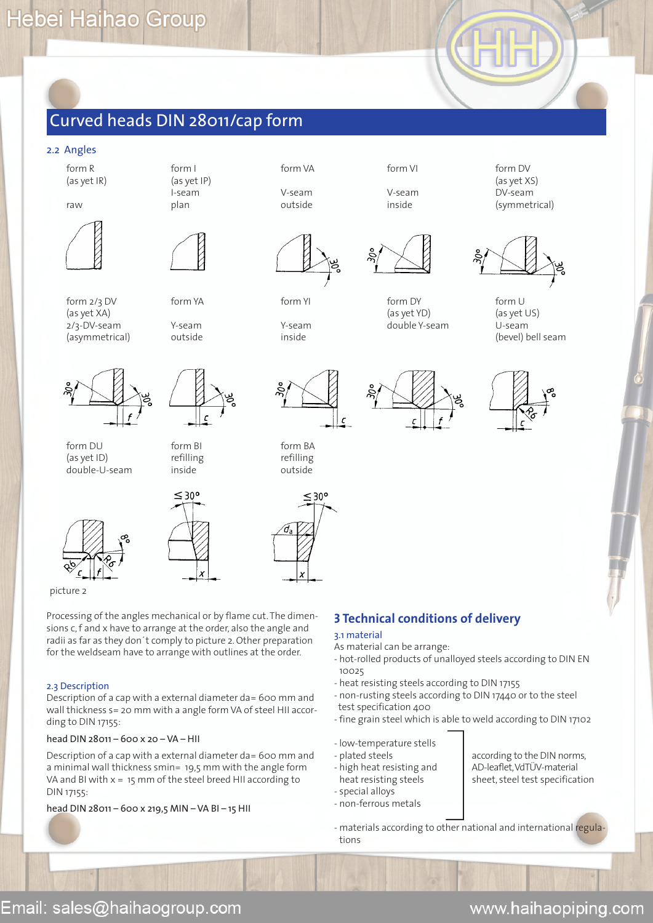#### 2.2 Angles





form DU form BI form BA

(as yet ID) refilling refilling refilling double-U-seam inside outside









 $\epsilon$ 

Processing of the angles mechanical or by flame cut. The dimensions c, f and x have to arrange at the order, also the angle and radii as far as they don´t comply to picture 2. Other preparation

for the weldseam have to arrange with outlines at the order.

#### 2.3 Description

picture 2

Description of a cap with a external diameter da= 600 mm and wall thickness s= 20 mm with a angle form VA of steel HII according to DIN 17155:

### head DIN 28011 – 600 x 20 – VA – HII

Description of a cap with a external diameter da= 600 mm and a minimal wall thickness smin= 19,5 mm with the angle form VA and BI with x = 15 mm of the steel breed HII according to DIN 17155:

### head DIN 28011 – 600 x 219,5 MIN – VA BI – 15 HII

### form R form I form VA form VI form DV



form 2/3 DV form YA form YI form DY form U (as yet XA) (as yet YD) (as yet US) 2/3-DV-seam Y-seam Y-seam double Y-seam U-seam







(asymmetrical) outside inside (bevel) bell seam



### **3 Technical conditions of delivery**

### 3.1 material

- As material can be arrange:
- hot-rolled products of unalloyed steels according to DIN EN 10025
- heat resisting steels according to DIN 17155
- non-rusting steels according to DIN 17440 or to the steel test specification 400
- fine grain steel which is able to weld according to DIN 17102
- low-temperature stells
- plated steels according to the DIN norms,
- $-$  high heat resisting and  $\blacksquare$  AD-leaflet, VdTÜV-material
- special alloys
- non-ferrous metals
- heat resisting steels sheet, steel test specification
- materials according to other national and international regulations

Email: sales@haihaogroup.com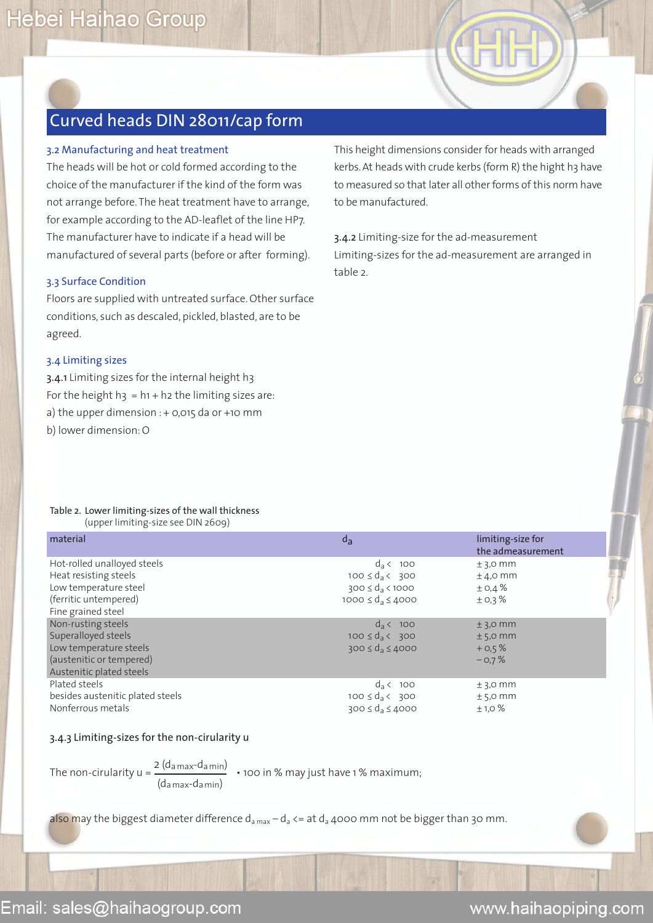### 3.2 Manufacturing and heat treatment

The heads will be hot or cold formed according to the choice of the manufacturer if the kind of the form was not arrange before. The heat treatment have to arrange, for example according to the AD-leaflet of the line HP7. The manufacturer have to indicate if a head will be manufactured of several parts (before or after forming).

### 3.3 Surface Condition

Floors are supplied with untreated surface. Other surface conditions, such as descaled, pickled, blasted, are to be agreed.

### 3.4 Limiting sizes

3.4.1 Limiting sizes for the internal height h3 For the height  $h_3 = h_1 + h_2$  the limiting sizes are: a) the upper dimension  $: +$  0,015 da or +10 mm b) lower dimension: O

This height dimensions consider for heads with arranged kerbs. At heads with crude kerbs (form R) the hight h3 have to measured so that later all other forms of this norm have to be manufactured.

3.4.2 Limiting-size for the ad-measurement Limiting-sizes for the ad-measurement are arranged in table 2.

#### Table 2. Lower limiting-sizes of the wall thickness (upper limiting-size see DIN 2609)

| material                         | $d_{a}$                       | limiting-size for<br>the admeasurement |
|----------------------------------|-------------------------------|----------------------------------------|
| Hot-rolled unalloyed steels      | $d_3$ < 100                   | $±$ 3,0 mm                             |
| Heat resisting steels            | $100 \leq d_3 < 300$          | $±$ 4,0 mm                             |
| Low temperature steel            | $300 \leq d_a < 1000$         | ± 0,4%                                 |
| (ferritic untempered)            | 1000 $\leq d_a \leq 4000$     | ± 0,3%                                 |
| Fine grained steel               |                               |                                        |
| Non-rusting steels               | $d_3$ < 100                   | $±$ 3,0 mm                             |
| Superalloyed steels              | $100 \leq d_{\rm a} \leq 300$ | $±$ 5,0 mm                             |
| Low temperature steels           | $300 \le d_a \le 4000$        | $+0.5%$                                |
| (austenitic or tempered)         |                               | $-0.7%$                                |
| Austenitic plated steels         |                               |                                        |
| Plated steels                    | $d_a \leftarrow 100$          | $±$ 3,0 mm                             |
| besides austenitic plated steels | $100 \leq d_{\rm a} \leq 300$ | $±$ 5,0 mm                             |
| Nonferrous metals                | $300 \le d_a \le 4000$        | ±1,0%                                  |
|                                  |                               |                                        |

### 3.4.3 Limiting-sizes for the non-cirularity u

The non-cirularity u =  $\frac{2 (d_{\text{a max}} - d_{\text{a min}})}{4}$  • 100 in % may just have 1 % maximum; (da max-da min)

also may the biggest diameter difference  $d_{a max} - d_a \leq at d_a$  4000 mm not be bigger than 30 mm.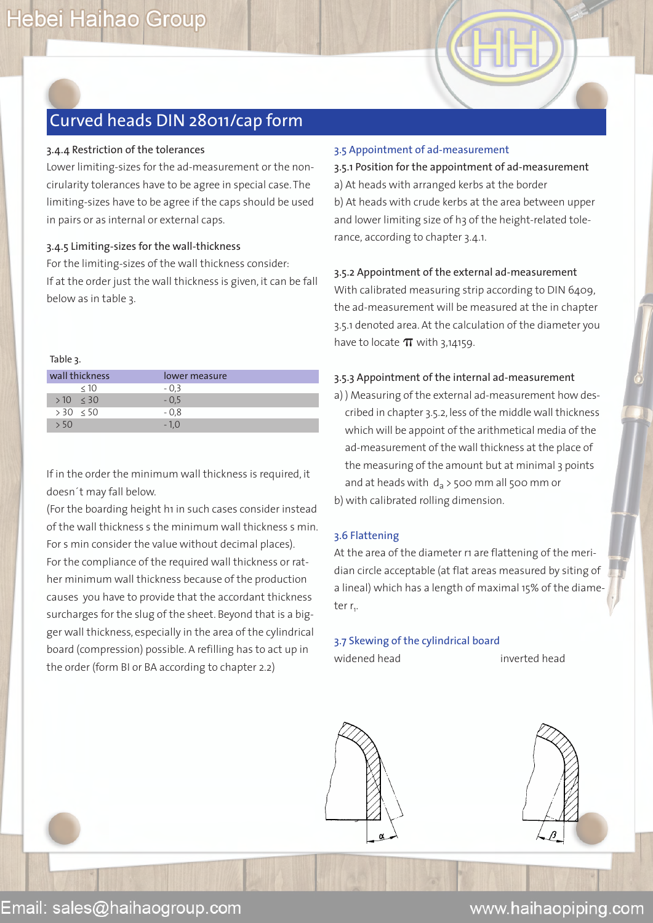### 3.4.4 Restriction of the tolerances

Lower limiting-sizes for the ad-measurement or the noncirularity tolerances have to be agree in special case. The limiting-sizes have to be agree if the caps should be used in pairs or as internal or external caps.

### 3.4.5 Limiting-sizes for the wall-thickness

For the limiting-sizes of the wall thickness consider: If at the order just the wall thickness is given, it can be fall below as in table 3.

#### Table 3.

| wall thickness | lower measure |
|----------------|---------------|
| < 10           | $-0.3$        |
| $>10 \leq 30$  | $-0.5$        |
| $> 30 \le 50$  | $-0.8$        |
|                | $-10$         |

If in the order the minimum wall thickness is required, it doesn´t may fall below.

(For the boarding height h1 in such cases consider instead of the wall thickness s the minimum wall thickness s min. For s min consider the value without decimal places). For the compliance of the required wall thickness or rather minimum wall thickness because of the production causes you have to provide that the accordant thickness surcharges for the slug of the sheet. Beyond that is a bigger wall thickness, especially in the area of the cylindrical board (compression) possible. A refilling has to act up in the order (form BI or BA according to chapter 2.2)

### 3.5 Appointment of ad-measurement

3.5.1 Position for the appointment of ad-measurement a) At heads with arranged kerbs at the border b) At heads with crude kerbs at the area between upper and lower limiting size of h3 of the height-related tolerance, according to chapter 3.4.1.

### 3.5.2 Appointment of the external ad-measurement

With calibrated measuring strip according to DIN 6409, the ad-measurement will be measured at the in chapter 3.5.1 denoted area. At the calculation of the diameter you have to locate  $\pi$  with 3,14159.

### 3.5.3 Appointment of the internal ad-measurement

a) ) Measuring of the external ad-measurement how described in chapter 3.5.2, less of the middle wall thickness which will be appoint of the arithmetical media of the ad-measurement of the wall thickness at the place of the measuring of the amount but at minimal 3 points and at heads with  $d_a$  > 500 mm all 500 mm or b) with calibrated rolling dimension.

### 3.6 Flattening

At the area of the diameter r1 are flattening of the meridian circle acceptable (at flat areas measured by siting of a lineal) which has a length of maximal 15% of the diameter r<sub>1</sub>.

### 3.7 Skewing of the cylindrical board

widened head inverted head